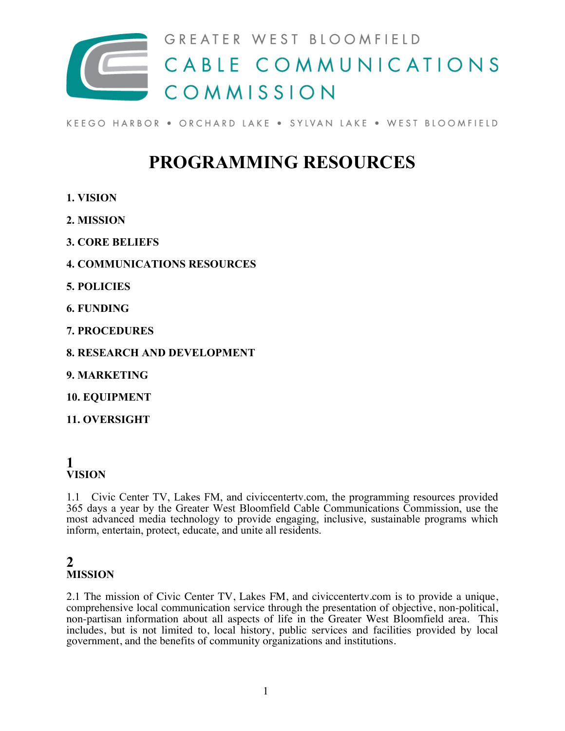

KEEGO HARBOR . ORCHARD LAKE . SYLVAN LAKE . WEST BLOOMFIELD

## **PROGRAMMING RESOURCES**

- **1. VISION**
- **2. MISSION**
- **3. CORE BELIEFS**
- **4. COMMUNICATIONS RESOURCES**
- **5. POLICIES**
- **6. FUNDING**
- **7. PROCEDURES**
- **8. RESEARCH AND DEVELOPMENT**
- **9. MARKETING**
- **10. EQUIPMENT**
- **11. OVERSIGHT**

## **1 VISION**

1.1 Civic Center TV, Lakes FM, and civiccentertv.com, the programming resources provided 365 days a year by the Greater West Bloomfield Cable Communications Commission, use the most advanced media technology to provide engaging, inclusive, sustainable programs which inform, entertain, protect, educate, and unite all residents.

## **2 MISSION**

2.1 The mission of Civic Center TV, Lakes FM, and civiccentertv.com is to provide a unique, comprehensive local communication service through the presentation of objective, non-political, non-partisan information about all aspects of life in the Greater West Bloomfield area. This includes, but is not limited to, local history, public services and facilities provided by local government, and the benefits of community organizations and institutions.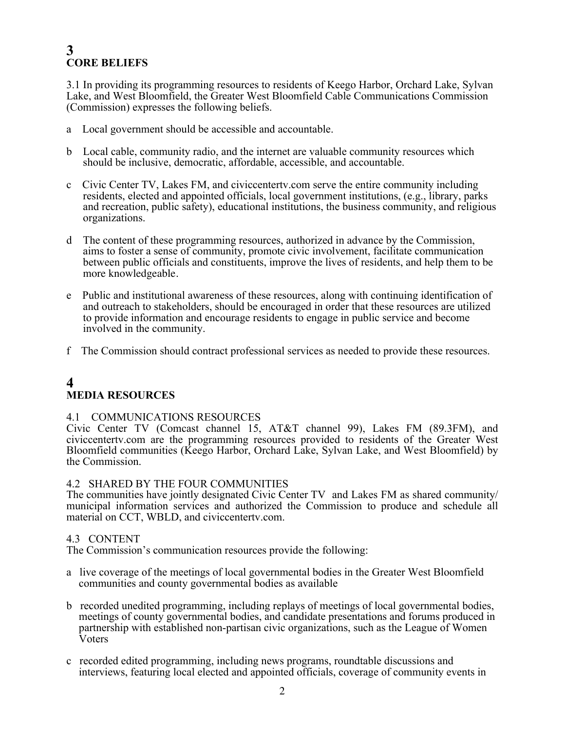## **3 CORE BELIEFS**

3.1 In providing its programming resources to residents of Keego Harbor, Orchard Lake, Sylvan Lake, and West Bloomfield, the Greater West Bloomfield Cable Communications Commission (Commission) expresses the following beliefs.

- a Local government should be accessible and accountable.
- b Local cable, community radio, and the internet are valuable community resources which should be inclusive, democratic, affordable, accessible, and accountable.
- c Civic Center TV, Lakes FM, and civiccentertv.com serve the entire community including residents, elected and appointed officials, local government institutions, (e.g., library, parks and recreation, public safety), educational institutions, the business community, and religious organizations.
- d The content of these programming resources, authorized in advance by the Commission, aims to foster a sense of community, promote civic involvement, facilitate communication between public officials and constituents, improve the lives of residents, and help them to be more knowledgeable.
- e Public and institutional awareness of these resources, along with continuing identification of and outreach to stakeholders, should be encouraged in order that these resources are utilized to provide information and encourage residents to engage in public service and become involved in the community.
- f The Commission should contract professional services as needed to provide these resources.

## **4 MEDIA RESOURCES**

#### 4.1 COMMUNICATIONS RESOURCES

Civic Center TV (Comcast channel 15, AT&T channel 99), Lakes FM (89.3FM), and civiccentertv.com are the programming resources provided to residents of the Greater West Bloomfield communities (Keego Harbor, Orchard Lake, Sylvan Lake, and West Bloomfield) by the Commission.

#### 4.2 SHARED BY THE FOUR COMMUNITIES

The communities have jointly designated Civic Center TV and Lakes FM as shared community/ municipal information services and authorized the Commission to produce and schedule all material on CCT, WBLD, and civiccentertv.com.

#### 4.3 CONTENT

The Commission's communication resources provide the following:

- a live coverage of the meetings of local governmental bodies in the Greater West Bloomfield communities and county governmental bodies as available
- b recorded unedited programming, including replays of meetings of local governmental bodies, meetings of county governmental bodies, and candidate presentations and forums produced in partnership with established non-partisan civic organizations, such as the League of Women Voters
- c recorded edited programming, including news programs, roundtable discussions and interviews, featuring local elected and appointed officials, coverage of community events in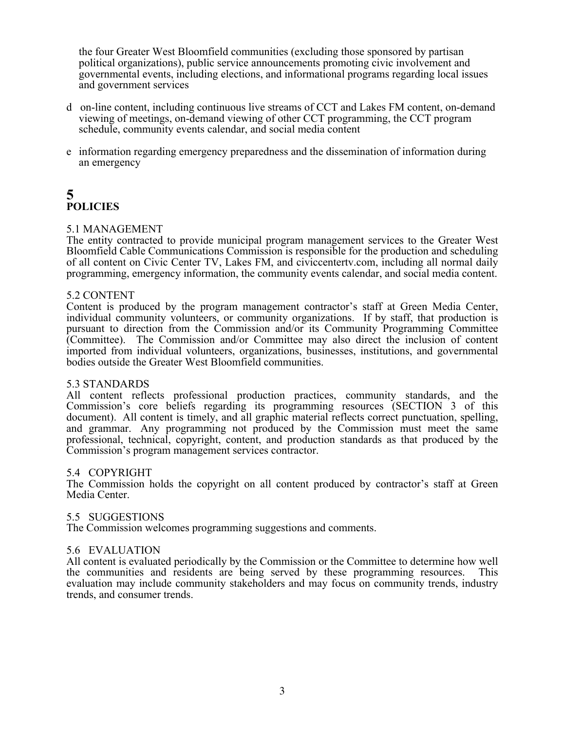the four Greater West Bloomfield communities (excluding those sponsored by partisan political organizations), public service announcements promoting civic involvement and governmental events, including elections, and informational programs regarding local issues and government services

- d on-line content, including continuous live streams of CCT and Lakes FM content, on-demand viewing of meetings, on-demand viewing of other CCT programming, the CCT program schedule, community events calendar, and social media content
- e information regarding emergency preparedness and the dissemination of information during an emergency

## **5 POLICIES**

#### 5.1 MANAGEMENT

The entity contracted to provide municipal program management services to the Greater West Bloomfield Cable Communications Commission is responsible for the production and scheduling of all content on Civic Center TV, Lakes FM, and civiccentertv.com, including all normal daily programming, emergency information, the community events calendar, and social media content.

#### 5.2 CONTENT

Content is produced by the program management contractor's staff at Green Media Center, individual community volunteers, or community organizations. If by staff, that production is pursuant to direction from the Commission and/or its Community Programming Committee (Committee). The Commission and/or Committee may also direct the inclusion of content imported from individual volunteers, organizations, businesses, institutions, and governmental bodies outside the Greater West Bloomfield communities.

#### 5.3 STANDARDS

All content reflects professional production practices, community standards, and the Commission's core beliefs regarding its programming resources (SECTION 3 of this document). All content is timely, and all graphic material reflects correct punctuation, spelling, and grammar. Any programming not produced by the Commission must meet the same professional, technical, copyright, content, and production standards as that produced by the Commission's program management services contractor.

#### 5.4 COPYRIGHT

The Commission holds the copyright on all content produced by contractor's staff at Green Media Center.

#### 5.5 SUGGESTIONS

The Commission welcomes programming suggestions and comments.

#### 5.6 EVALUATION

All content is evaluated periodically by the Commission or the Committee to determine how well the communities and residents are being served by these programming resources. This evaluation may include community stakeholders and may focus on community trends, industry trends, and consumer trends.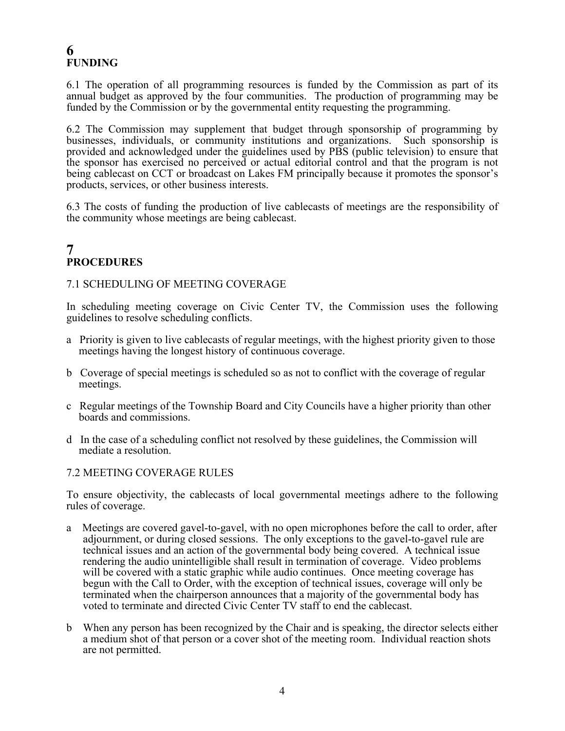## **6 FUNDING**

6.1 The operation of all programming resources is funded by the Commission as part of its annual budget as approved by the four communities. The production of programming may be funded by the Commission or by the governmental entity requesting the programming.

6.2 The Commission may supplement that budget through sponsorship of programming by businesses, individuals, or community institutions and organizations. Such sponsorship is provided and acknowledged under the guidelines used by PBS (public television) to ensure that the sponsor has exercised no perceived or actual editorial control and that the program is not being cablecast on CCT or broadcast on Lakes FM principally because it promotes the sponsor's products, services, or other business interests.

6.3 The costs of funding the production of live cablecasts of meetings are the responsibility of the community whose meetings are being cablecast.

## **7 PROCEDURES**

#### 7.1 SCHEDULING OF MEETING COVERAGE

In scheduling meeting coverage on Civic Center TV, the Commission uses the following guidelines to resolve scheduling conflicts.

- a Priority is given to live cablecasts of regular meetings, with the highest priority given to those meetings having the longest history of continuous coverage.
- b Coverage of special meetings is scheduled so as not to conflict with the coverage of regular meetings.
- c Regular meetings of the Township Board and City Councils have a higher priority than other boards and commissions.
- d In the case of a scheduling conflict not resolved by these guidelines, the Commission will mediate a resolution.

#### 7.2 MEETING COVERAGE RULES

To ensure objectivity, the cablecasts of local governmental meetings adhere to the following rules of coverage.

- a Meetings are covered gavel-to-gavel, with no open microphones before the call to order, after adjournment, or during closed sessions. The only exceptions to the gavel-to-gavel rule are technical issues and an action of the governmental body being covered. A technical issue rendering the audio unintelligible shall result in termination of coverage. Video problems will be covered with a static graphic while audio continues. Once meeting coverage has begun with the Call to Order, with the exception of technical issues, coverage will only be terminated when the chairperson announces that a majority of the governmental body has voted to terminate and directed Civic Center TV staff to end the cablecast.
- b When any person has been recognized by the Chair and is speaking, the director selects either a medium shot of that person or a cover shot of the meeting room. Individual reaction shots are not permitted.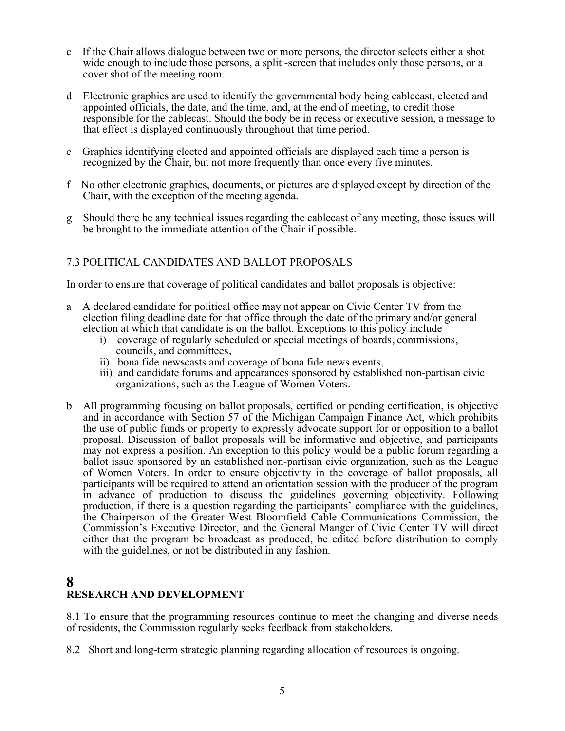- c If the Chair allows dialogue between two or more persons, the director selects either a shot wide enough to include those persons, a split -screen that includes only those persons, or a cover shot of the meeting room.
- d Electronic graphics are used to identify the governmental body being cablecast, elected and appointed officials, the date, and the time, and, at the end of meeting, to credit those responsible for the cablecast. Should the body be in recess or executive session, a message to that effect is displayed continuously throughout that time period.
- e Graphics identifying elected and appointed officials are displayed each time a person is recognized by the Chair, but not more frequently than once every five minutes.
- f No other electronic graphics, documents, or pictures are displayed except by direction of the Chair, with the exception of the meeting agenda.
- g Should there be any technical issues regarding the cablecast of any meeting, those issues will be brought to the immediate attention of the Chair if possible.

## 7.3 POLITICAL CANDIDATES AND BALLOT PROPOSALS

In order to ensure that coverage of political candidates and ballot proposals is objective:

- a A declared candidate for political office may not appear on Civic Center TV from the election filing deadline date for that office through the date of the primary and/or general election at which that candidate is on the ballot. Exceptions to this policy include
	- i) coverage of regularly scheduled or special meetings of boards, commissions, councils, and committees,
	- ii) bona fide newscasts and coverage of bona fide news events,
	- iii) and candidate forums and appearances sponsored by established non-partisan civic organizations, such as the League of Women Voters.
- b All programming focusing on ballot proposals, certified or pending certification, is objective and in accordance with Section 57 of the Michigan Campaign Finance Act, which prohibits the use of public funds or property to expressly advocate support for or opposition to a ballot proposal. Discussion of ballot proposals will be informative and objective, and participants may not express a position. An exception to this policy would be a public forum regarding a ballot issue sponsored by an established non-partisan civic organization, such as the League of Women Voters. In order to ensure objectivity in the coverage of ballot proposals, all participants will be required to attend an orientation session with the producer of the program in advance of production to discuss the guidelines governing objectivity. Following production, if there is a question regarding the participants' compliance with the guidelines, the Chairperson of the Greater West Bloomfield Cable Communications Commission, the Commission's Executive Director, and the General Manger of Civic Center TV will direct either that the program be broadcast as produced, be edited before distribution to comply with the guidelines, or not be distributed in any fashion.

## **8 RESEARCH AND DEVELOPMENT**

8.1 To ensure that the programming resources continue to meet the changing and diverse needs of residents, the Commission regularly seeks feedback from stakeholders.

8.2 Short and long-term strategic planning regarding allocation of resources is ongoing.